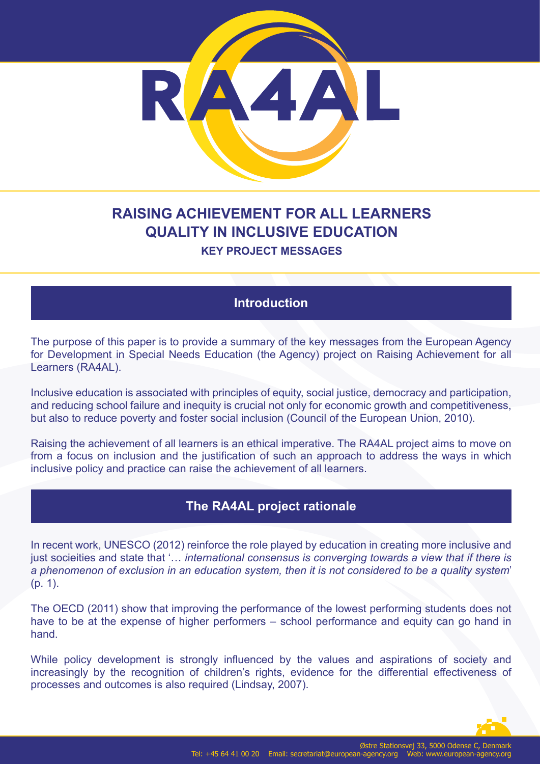

# **RAISING ACHIEVEMENT FOR ALL LEARNERS QUALITY IN INCLUSIVE EDUCATION**

#### **KEY PROJECT MESSAGES**

### **Introduction**

The purpose of this paper is to provide a summary of the key messages from the European Agency for Development in Special Needs Education (the Agency) project on Raising Achievement for all Learners (RA4AL).

Inclusive education is associated with principles of equity, social justice, democracy and participation, and reducing school failure and inequity is crucial not only for economic growth and competitiveness, but also to reduce poverty and foster social inclusion (Council of the European Union, 2010).

Raising the achievement of all learners is an ethical imperative. The RA4AL project aims to move on from a focus on inclusion and the justification of such an approach to address the ways in which inclusive policy and practice can raise the achievement of all learners.

# **The RA4AL project rationale**

In recent work, UNESCO (2012) reinforce the role played by education in creating more inclusive and just socieities and state that '... *international consensus is converging towards a view that if there is a phenomenon of exclusion in an education system, then it is not considered to be a quality system*' (p. 1).

The OECD (2011) show that improving the performance of the lowest performing students does not have to be at the expense of higher performers – school performance and equity can go hand in hand.

While policy development is strongly influenced by the values and aspirations of society and increasingly by the recognition of children's rights, evidence for the differential effectiveness of processes and outcomes is also required (Lindsay, 2007).

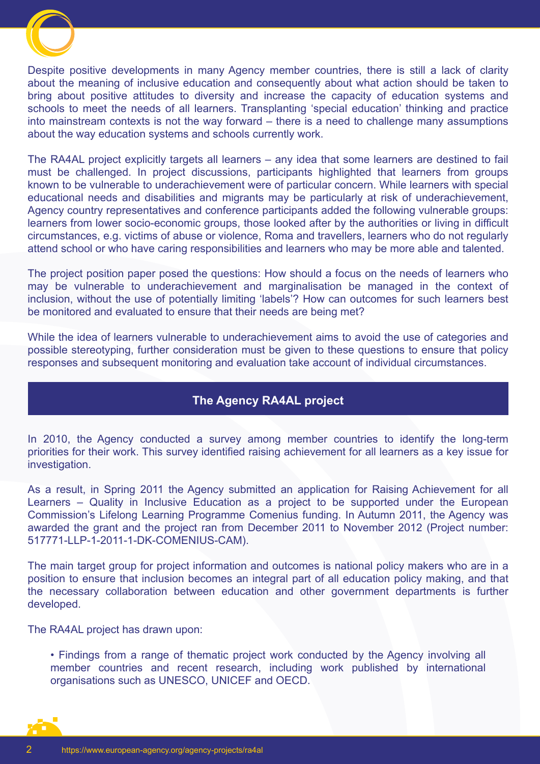

Despite positive developments in many Agency member countries, there is still a lack of clarity about the meaning of inclusive education and consequently about what action should be taken to bring about positive attitudes to diversity and increase the capacity of education systems and schools to meet the needs of all learners. Transplanting 'special education' thinking and practice into mainstream contexts is not the way forward – there is a need to challenge many assumptions about the way education systems and schools currently work.

The RA4AL project explicitly targets all learners – any idea that some learners are destined to fail must be challenged. In project discussions, participants highlighted that learners from groups known to be vulnerable to underachievement were of particular concern. While learners with special educational needs and disabilities and migrants may be particularly at risk of underachievement, Agency country representatives and conference participants added the following vulnerable groups: learners from lower socio-economic groups, those looked after by the authorities or living in difficult circumstances, e.g. victims of abuse or violence, Roma and travellers, learners who do not regularly attend school or who have caring responsibilities and learners who may be more able and talented.

The project position paper posed the questions: How should a focus on the needs of learners who may be vulnerable to underachievement and marginalisation be managed in the context of inclusion, without the use of potentially limiting 'labels'? How can outcomes for such learners best be monitored and evaluated to ensure that their needs are being met?

While the idea of learners vulnerable to underachievement aims to avoid the use of categories and possible stereotyping, further consideration must be given to these questions to ensure that policy responses and subsequent monitoring and evaluation take account of individual circumstances.

#### **The Agency RA4AL project**

In 2010, the Agency conducted a survey among member countries to identify the long-term priorities for their work. This survey identified raising achievement for all learners as a key issue for investigation.

As a result, in Spring 2011 the Agency submitted an application for Raising Achievement for all Learners – Quality in Inclusive Education as a project to be supported under the European Commission's Lifelong Learning Programme Comenius funding. In Autumn 2011, the Agency was awarded the grant and the project ran from December 2011 to November 2012 (Project number: 517771-LLP-1-2011-1-DK-COMENIUS-CAM).

The main target group for project information and outcomes is national policy makers who are in a position to ensure that inclusion becomes an integral part of all education policy making, and that the necessary collaboration between education and other government departments is further developed.

The RA4AL project has drawn upon:

• Findings from a range of thematic project work conducted by the Agency involving all member countries and recent research, including work published by international organisations such as UNESCO, UNICEF and OECD.

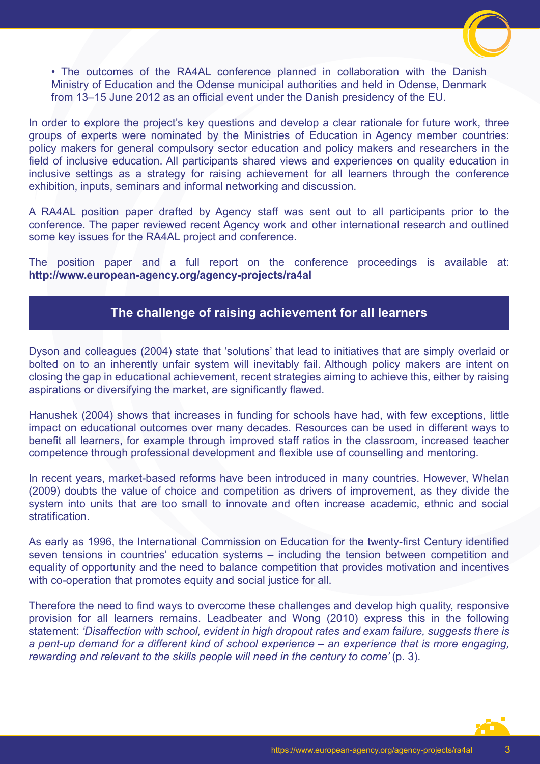

• The outcomes of the RA4AL conference planned in collaboration with the Danish Ministry of Education and the Odense municipal authorities and held in Odense, Denmark from 13–15 June 2012 as an official event under the Danish presidency of the EU.

In order to explore the project's key questions and develop a clear rationale for future work, three groups of experts were nominated by the Ministries of Education in Agency member countries: policy makers for general compulsory sector education and policy makers and researchers in the field of inclusive education. All participants shared views and experiences on quality education in inclusive settings as a strategy for raising achievement for all learners through the conference exhibition, inputs, seminars and informal networking and discussion.

A RA4AL position paper drafted by Agency staff was sent out to all participants prior to the conference. The paper reviewed recent Agency work and other international research and outlined some key issues for the RA4AL project and conference.

The position paper and a full report on the conference proceedings is available at: **http://www.european-agency.org/agency-projects/ra4al**

#### **The challenge of raising achievement for all learners**

Dyson and colleagues (2004) state that 'solutions' that lead to initiatives that are simply overlaid or bolted on to an inherently unfair system will inevitably fail. Although policy makers are intent on closing the gap in educational achievement, recent strategies aiming to achieve this, either by raising aspirations or diversifying the market, are significantly flawed.

Hanushek (2004) shows that increases in funding for schools have had, with few exceptions, little impact on educational outcomes over many decades. Resources can be used in different ways to benefit all learners, for example through improved staff ratios in the classroom, increased teacher competence through professional development and flexible use of counselling and mentoring.

In recent years, market-based reforms have been introduced in many countries. However, Whelan (2009) doubts the value of choice and competition as drivers of improvement, as they divide the system into units that are too small to innovate and often increase academic, ethnic and social stratification.

As early as 1996, the International Commission on Education for the twenty-first Century identified seven tensions in countries' education systems – including the tension between competition and equality of opportunity and the need to balance competition that provides motivation and incentives with co-operation that promotes equity and social justice for all.

Therefore the need to find ways to overcome these challenges and develop high quality, responsive provision for all learners remains. Leadbeater and Wong (2010) express this in the following statement: *'Disaffection with school, evident in high dropout rates and exam failure, suggests there is a pent-up demand for a different kind of school experience – an experience that is more engaging, rewarding and relevant to the skills people will need in the century to come' (p. 3).* 

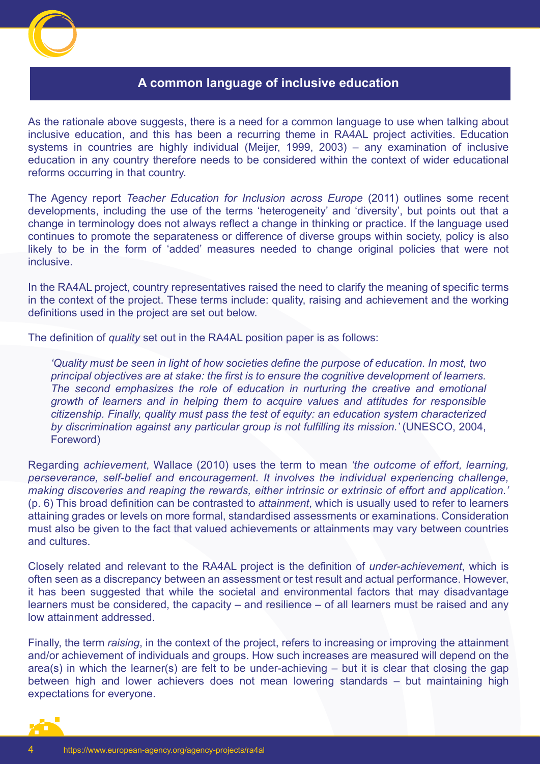

#### **A common language of inclusive education**

As the rationale above suggests, there is a need for a common language to use when talking about inclusive education, and this has been a recurring theme in RA4AL project activities. Education systems in countries are highly individual (Meijer, 1999, 2003) – any examination of inclusive education in any country therefore needs to be considered within the context of wider educational reforms occurring in that country.

The Agency report *Teacher Education for Inclusion across Europe* (2011) outlines some recent developments, including the use of the terms 'heterogeneity' and 'diversity', but points out that a change in terminology does not always reflect a change in thinking or practice. If the language used continues to promote the separateness or difference of diverse groups within society, policy is also likely to be in the form of 'added' measures needed to change original policies that were not inclusive.

In the RA4AL project, country representatives raised the need to clarify the meaning of specific terms in the context of the project. These terms include: quality, raising and achievement and the working definitions used in the project are set out below.

The definition of *quality* set out in the RA4AL position paper is as follows:

*'Quality must be seen in light of how societies define the purpose of education. In most, two principal objectives are at stake: the first is to ensure the cognitive development of learners. The second emphasizes the role of education in nurturing the creative and emotional growth of learners and in helping them to acquire values and attitudes for responsible citizenship. Finally, quality must pass the test of equity: an education system characterized by discrimination against any particular group is not fulfilling its mission.'* (UNESCO, 2004, Foreword)

Regarding *achievement*, Wallace (2010) uses the term to mean *'the outcome of effort, learning, perseverance, self-belief and encouragement. It involves the individual experiencing challenge, making discoveries and reaping the rewards, either intrinsic or extrinsic of effort and application.'* (p. 6) This broad definition can be contrasted to *attainment*, which is usually used to refer to learners attaining grades or levels on more formal, standardised assessments or examinations. Consideration must also be given to the fact that valued achievements or attainments may vary between countries and cultures.

Closely related and relevant to the RA4AL project is the definition of *under-achievement*, which is often seen as a discrepancy between an assessment or test result and actual performance. However, it has been suggested that while the societal and environmental factors that may disadvantage learners must be considered, the capacity – and resilience – of all learners must be raised and any low attainment addressed.

Finally, the term *raising*, in the context of the project, refers to increasing or improving the attainment and/or achievement of individuals and groups. How such increases are measured will depend on the area(s) in which the learner(s) are felt to be under-achieving – but it is clear that closing the gap between high and lower achievers does not mean lowering standards – but maintaining high expectations for everyone.

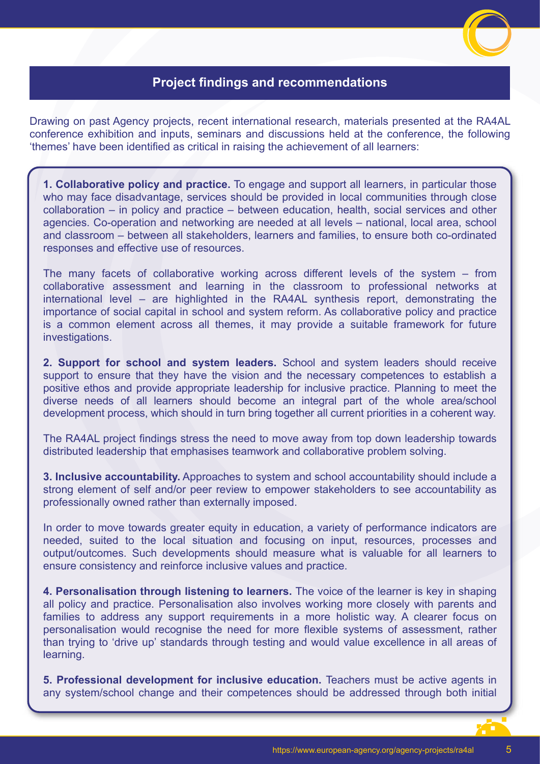# **Project findings and recommendations**

Drawing on past Agency projects, recent international research, materials presented at the RA4AL conference exhibition and inputs, seminars and discussions held at the conference, the following 'themes' have been identified as critical in raising the achievement of all learners:

**1. Collaborative policy and practice.** To engage and support all learners, in particular those who may face disadvantage, services should be provided in local communities through close collaboration – in policy and practice – between education, health, social services and other agencies. Co-operation and networking are needed at all levels – national, local area, school and classroom – between all stakeholders, learners and families, to ensure both co-ordinated responses and effective use of resources.

The many facets of collaborative working across different levels of the system – from collaborative assessment and learning in the classroom to professional networks at international level – are highlighted in the RA4AL synthesis report, demonstrating the importance of social capital in school and system reform. As collaborative policy and practice is a common element across all themes, it may provide a suitable framework for future investigations.

**2. Support for school and system leaders.** School and system leaders should receive support to ensure that they have the vision and the necessary competences to establish a positive ethos and provide appropriate leadership for inclusive practice. Planning to meet the diverse needs of all learners should become an integral part of the whole area/school development process, which should in turn bring together all current priorities in a coherent way.

The RA4AL project findings stress the need to move away from top down leadership towards distributed leadership that emphasises teamwork and collaborative problem solving.

**3. Inclusive accountability.** Approaches to system and school accountability should include a strong element of self and/or peer review to empower stakeholders to see accountability as professionally owned rather than externally imposed.

In order to move towards greater equity in education, a variety of performance indicators are needed, suited to the local situation and focusing on input, resources, processes and output/outcomes. Such developments should measure what is valuable for all learners to ensure consistency and reinforce inclusive values and practice.

**4. Personalisation through listening to learners.** The voice of the learner is key in shaping all policy and practice. Personalisation also involves working more closely with parents and families to address any support requirements in a more holistic way. A clearer focus on personalisation would recognise the need for more flexible systems of assessment, rather than trying to 'drive up' standards through testing and would value excellence in all areas of learning.

**5. Professional development for inclusive education.** Teachers must be active agents in any system/school change and their competences should be addressed through both initial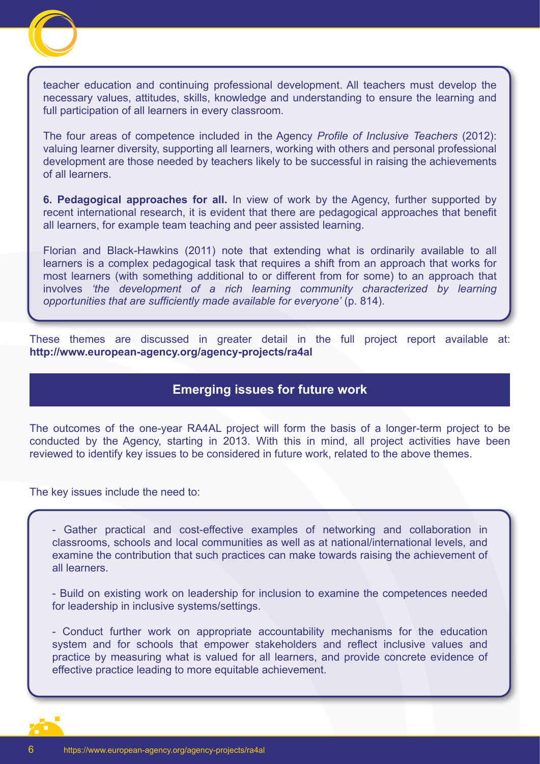

teacher education and continuing professional development. All teachers must develop the necessary values, attitudes, skills, knowledge and understanding to ensure the learning and full participation of all learners in every classroom.

The four areas of competence included in the Agency *Profile of Inclusive Teachers* (2012): valuing learner diversity, supporting all learners, working with others and personal professional development are those needed by teachers likely to be successful in raising the achievements of all learners.

**6. Pedagogical approaches for all.** In view of work by the Agency, further supported by recent international research, it is evident that there are pedagogical approaches that benefit all learners, for example team teaching and peer assisted learning.

Florian and Black-Hawkins (2011) note that extending what is ordinarily available to all learners is a complex pedagogical task that requires a shift from an approach that works for most learners (with something additional to or different from for some) to an approach that involves *'the development of a rich learning community characterized by learning opportunities that are sufficiently made available for everyone'* (p. 814).

These themes are discussed in greater detail in the full project report available at: **http://www.european-agency.org/agency-projects/ra4al**

#### **Emerging issues for future work**

The outcomes of the one-year RA4AL project will form the basis of a longer-term project to be conducted by the Agency, starting in 2013. With this in mind, all project activities have been reviewed to identify key issues to be considered in future work, related to the above themes.

The key issues include the need to:

- Gather practical and cost-effective examples of networking and collaboration in classrooms, schools and local communities as well as at national/international levels, and examine the contribution that such practices can make towards raising the achievement of all learners.

- Build on existing work on leadership for inclusion to examine the competences needed for leadership in inclusive systems/settings.

- Conduct further work on appropriate accountability mechanisms for the education system and for schools that empower stakeholders and reflect inclusive values and practice by measuring what is valued for all learners, and provide concrete evidence of effective practice leading to more equitable achievement.

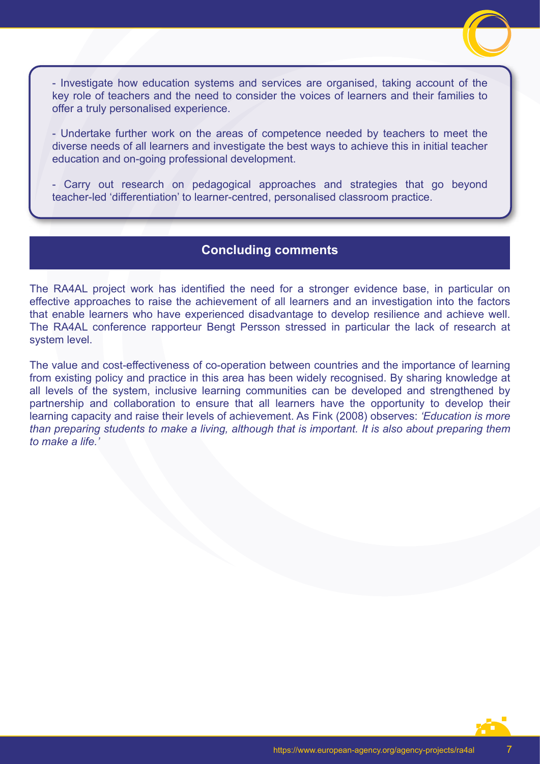

- Investigate how education systems and services are organised, taking account of the key role of teachers and the need to consider the voices of learners and their families to offer a truly personalised experience.

- Undertake further work on the areas of competence needed by teachers to meet the diverse needs of all learners and investigate the best ways to achieve this in initial teacher education and on-going professional development.

- Carry out research on pedagogical approaches and strategies that go beyond teacher-led 'differentiation' to learner-centred, personalised classroom practice.

# **Concluding comments**

The RA4AL project work has identified the need for a stronger evidence base, in particular on effective approaches to raise the achievement of all learners and an investigation into the factors that enable learners who have experienced disadvantage to develop resilience and achieve well. The RA4AL conference rapporteur Bengt Persson stressed in particular the lack of research at system level.

The value and cost-effectiveness of co-operation between countries and the importance of learning from existing policy and practice in this area has been widely recognised. By sharing knowledge at all levels of the system, inclusive learning communities can be developed and strengthened by partnership and collaboration to ensure that all learners have the opportunity to develop their learning capacity and raise their levels of achievement. As Fink (2008) observes: *'Education is more than preparing students to make a living, although that is important. It is also about preparing them to make a life.'*